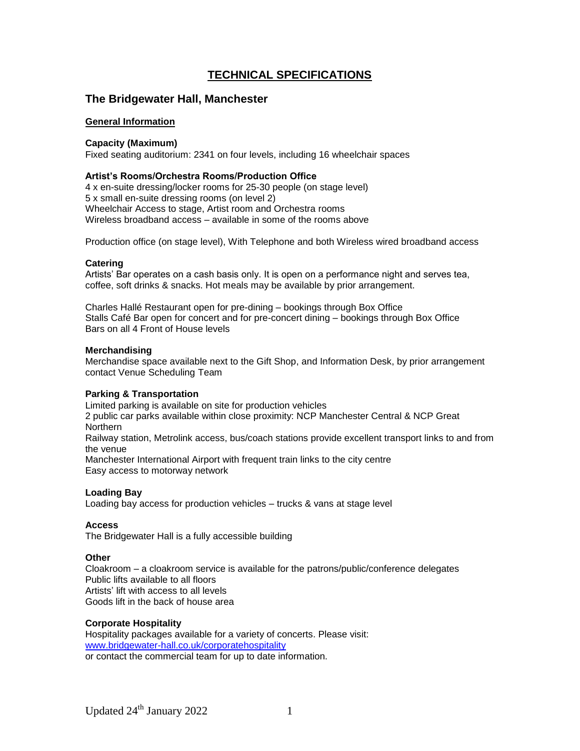# **TECHNICAL SPECIFICATIONS**

## **The Bridgewater Hall, Manchester**

## **General Information**

#### **Capacity (Maximum)**

Fixed seating auditorium: 2341 on four levels, including 16 wheelchair spaces

#### **Artist's Rooms/Orchestra Rooms/Production Office**

4 x en-suite dressing/locker rooms for 25-30 people (on stage level) 5 x small en-suite dressing rooms (on level 2) Wheelchair Access to stage, Artist room and Orchestra rooms Wireless broadband access – available in some of the rooms above

Production office (on stage level), With Telephone and both Wireless wired broadband access

#### **Catering**

Artists' Bar operates on a cash basis only. It is open on a performance night and serves tea, coffee, soft drinks & snacks. Hot meals may be available by prior arrangement.

Charles Hallé Restaurant open for pre-dining – bookings through Box Office Stalls Café Bar open for concert and for pre-concert dining – bookings through Box Office Bars on all 4 Front of House levels

#### **Merchandising**

Merchandise space available next to the Gift Shop, and Information Desk, by prior arrangement contact Venue Scheduling Team

## **Parking & Transportation**

Limited parking is available on site for production vehicles 2 public car parks available within close proximity: NCP Manchester Central & NCP Great **Northern** Railway station, Metrolink access, bus/coach stations provide excellent transport links to and from the venue Manchester International Airport with frequent train links to the city centre Easy access to motorway network

## **Loading Bay**

Loading bay access for production vehicles – trucks & vans at stage level

#### **Access**

The Bridgewater Hall is a fully accessible building

#### **Other**

Cloakroom – a cloakroom service is available for the patrons/public/conference delegates Public lifts available to all floors Artists' lift with access to all levels Goods lift in the back of house area

#### **Corporate Hospitality**

Hospitality packages available for a variety of concerts. Please visit: [www.bridgewater-hall.co.uk/corporatehospitality](http://www.bridgewater-hall.co.uk/corporatehospitality) or contact the commercial team for up to date information.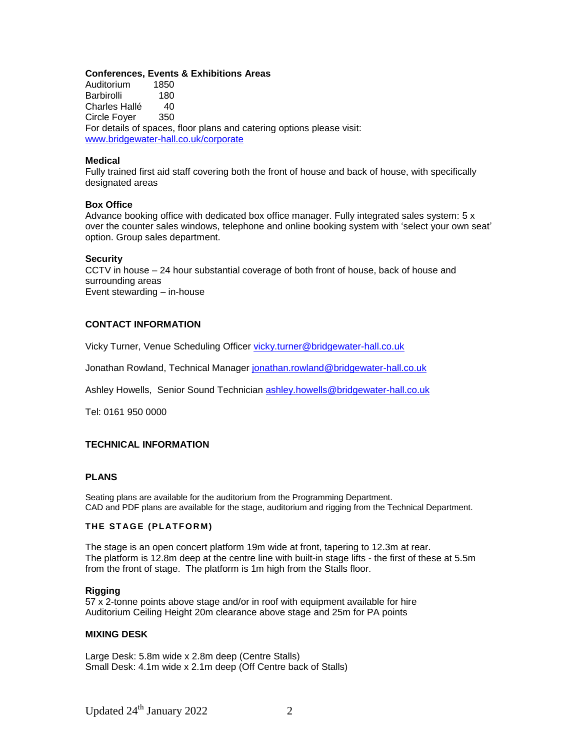#### **Conferences, Events & Exhibitions Areas**

Auditorium 1850 Barbirolli 180 Charles Hallé 40 Circle Foyer 350 For details of spaces, floor plans and catering options please visit: [www.bridgewater-hall.co.uk/corporate](http://www.bridgewater-hall.co.uk/corporate)

#### **Medical**

Fully trained first aid staff covering both the front of house and back of house, with specifically designated areas

#### **Box Office**

Advance booking office with dedicated box office manager. Fully integrated sales system: 5 x over the counter sales windows, telephone and online booking system with 'select your own seat' option. Group sales department.

#### **Security**

CCTV in house – 24 hour substantial coverage of both front of house, back of house and surrounding areas Event stewarding – in-house

#### **CONTACT INFORMATION**

Vicky Turner, Venue Scheduling Officer [vicky.turner@bridgewater-hall.co.uk](mailto:vicky.turner@bridgewater-hall.co.uk)

Jonathan Rowland, Technical Manager [jonathan.rowland@bridgewater-hall.co.uk](mailto:jonathan.rowland@bridgewater-hall.co.uk)

Ashley Howells, Senior Sound Technician [ashley.howells@bridgewater-hall.co.uk](mailto:ashley.howells@bridgewater-hall.co.uk)

Tel: 0161 950 0000

#### **TECHNICAL INFORMATION**

#### **PLANS**

Seating plans are available for the auditorium from the Programming Department. CAD and PDF plans are available for the stage, auditorium and rigging from the Technical Department.

#### **THE STAGE (PLATFORM)**

The stage is an open concert platform 19m wide at front, tapering to 12.3m at rear. The platform is 12.8m deep at the centre line with built-in stage lifts - the first of these at 5.5m from the front of stage. The platform is 1m high from the Stalls floor.

#### **Rigging**

57 x 2-tonne points above stage and/or in roof with equipment available for hire Auditorium Ceiling Height 20m clearance above stage and 25m for PA points

#### **MIXING DESK**

Large Desk: 5.8m wide x 2.8m deep (Centre Stalls) Small Desk: 4.1m wide x 2.1m deep (Off Centre back of Stalls)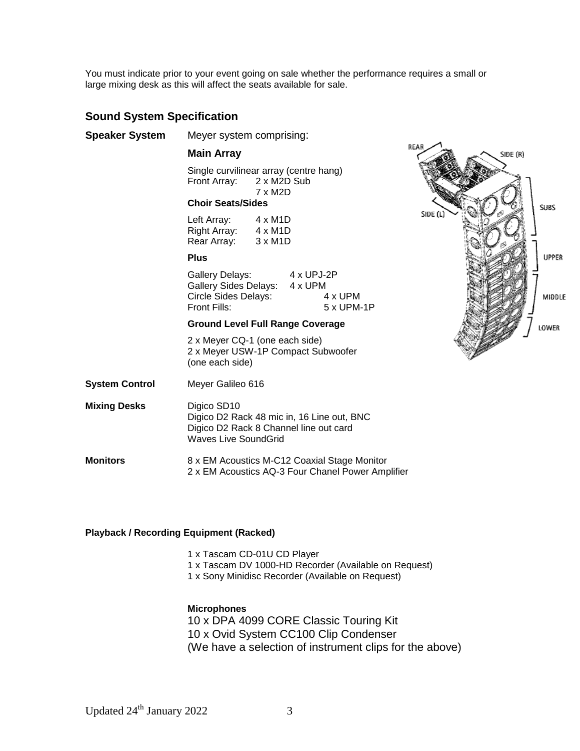You must indicate prior to your event going on sale whether the performance requires a small or large mixing desk as this will affect the seats available for sale.

# **Sound System Specification**

| <b>Speaker System</b> | Meyer system comprising:                                                                                                           |                                             |                       |  |
|-----------------------|------------------------------------------------------------------------------------------------------------------------------------|---------------------------------------------|-----------------------|--|
|                       | <b>Main Array</b>                                                                                                                  |                                             |                       |  |
|                       | Single curvilinear array (centre hang)<br>Front Array:<br>2 x M2D Sub<br>7 x M2D<br><b>Choir Seats/Sides</b>                       |                                             |                       |  |
|                       |                                                                                                                                    |                                             |                       |  |
|                       | Left Array: 4 x M1D<br>Right Array: 4 x M1D<br>Rear Array: 3 x M1D                                                                 |                                             |                       |  |
|                       | <b>Plus</b>                                                                                                                        |                                             |                       |  |
|                       | <b>Gallery Delays:</b><br>Circle Sides Delays:<br>Front Fills:                                                                     | 4 x UPJ-2P<br>Gallery Sides Delays: 4 x UPM | 4 x UPM<br>5 x UPM-1P |  |
|                       | <b>Ground Level Full Range Coverage</b>                                                                                            |                                             |                       |  |
|                       | 2 x Meyer CQ-1 (one each side)<br>2 x Meyer USW-1P Compact Subwoofer<br>(one each side)                                            |                                             |                       |  |
| <b>System Control</b> | Meyer Galileo 616                                                                                                                  |                                             |                       |  |
| <b>Mixing Desks</b>   | Digico SD10<br>Digico D2 Rack 48 mic in, 16 Line out, BNC<br>Digico D2 Rack 8 Channel line out card<br><b>Waves Live SoundGrid</b> |                                             |                       |  |
| <b>Monitors</b>       | 8 x EM Acoustics M-C12 Coaxial Stage Monitor<br>2 x EM Acoustics AQ-3 Four Chanel Power Amplifier                                  |                                             |                       |  |



## **Playback / Recording Equipment (Racked)**

- 1 x Tascam CD-01U CD Player
- 1 x Tascam DV 1000-HD Recorder (Available on Request)
- 1 x Sony Minidisc Recorder (Available on Request)

#### **Microphones**

10 x DPA 4099 CORE Classic Touring Kit 10 x Ovid System CC100 Clip Condenser (We have a selection of instrument clips for the above)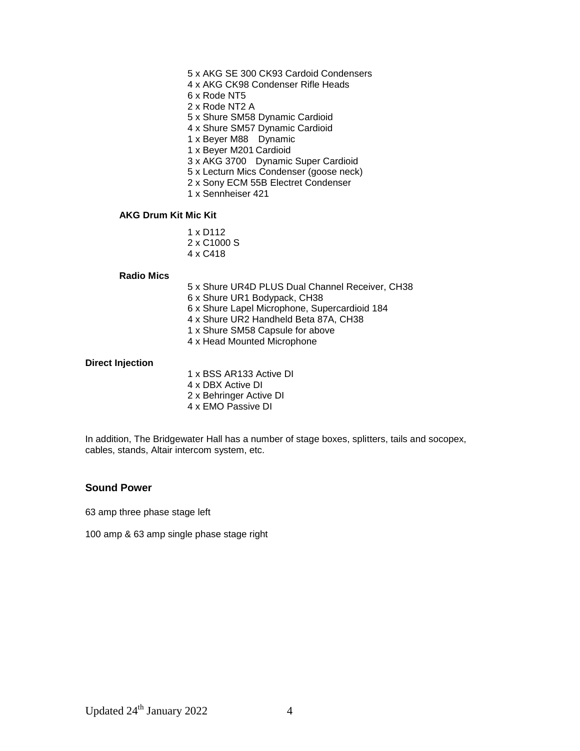- 5 x AKG SE 300 CK93 Cardoid Condensers
- 4 x AKG CK98 Condenser Rifle Heads
- 6 x Rode NT5
- 2 x Rode NT2 A
- 5 x Shure SM58 Dynamic Cardioid
- 4 x Shure SM57 Dynamic Cardioid
- 1 x Beyer M88 Dynamic
- 1 x Beyer M201 Cardioid
- 3 x AKG 3700 Dynamic Super Cardioid
- 5 x Lecturn Mics Condenser (goose neck)
- 2 x Sony ECM 55B Electret Condenser
- 1 x Sennheiser 421

#### **AKG Drum Kit Mic Kit**

1 x D112 2 x C1000 S 4 x C418

#### **Radio Mics**

- 5 x Shure UR4D PLUS Dual Channel Receiver, CH38
- 6 x Shure UR1 Bodypack, CH38
- 6 x Shure Lapel Microphone, Supercardioid 184
- 4 x Shure UR2 Handheld Beta 87A, CH38
- 1 x Shure SM58 Capsule for above
- 4 x Head Mounted Microphone

#### **Direct Injection**

1 x BSS AR133 Active DI 4 x DBX Active DI 2 x Behringer Active DI 4 x EMO Passive DI

In addition, The Bridgewater Hall has a number of stage boxes, splitters, tails and socopex, cables, stands, Altair intercom system, etc.

## **Sound Power**

63 amp three phase stage left

100 amp & 63 amp single phase stage right